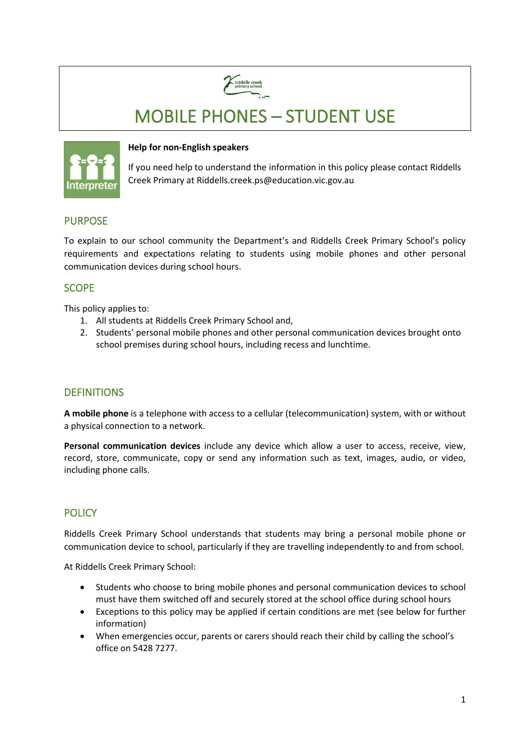

# MOBILE PHONES – STUDENT USE



#### **Help for non-English speakers**

If you need help to understand the information in this policy please contact Riddells Creek Primary at Riddells.creek.ps@education.vic.gov.au

# PURPOSE

To explain to our school community the Department's and Riddells Creek Primary School's policy requirements and expectations relating to students using mobile phones and other personal communication devices during school hours.

# **SCOPE**

This policy applies to:

- 1. All students at Riddells Creek Primary School and,
- 2. Students' personal mobile phones and other personal communication devices brought onto school premises during school hours, including recess and lunchtime.

# **DEFINITIONS**

**A mobile phone** is a telephone with access to a cellular (telecommunication) system, with or without a physical connection to a network.

**Personal communication devices** include any device which allow a user to access, receive, view, record, store, communicate, copy or send any information such as text, images, audio, or video, including phone calls.

# **POLICY**

Riddells Creek Primary School understands that students may bring a personal mobile phone or communication device to school, particularly if they are travelling independently to and from school.

At Riddells Creek Primary School:

- Students who choose to bring mobile phones and personal communication devices to school must have them switched off and securely stored at the school office during school hours
- Exceptions to this policy may be applied if certain conditions are met (see below for further information)
- When emergencies occur, parents or carers should reach their child by calling the school's office on 5428 7277.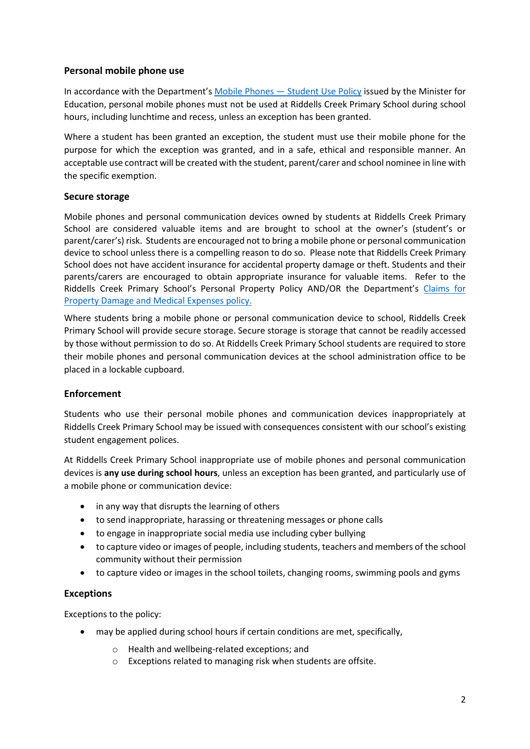## **Personal mobile phone use**

In accordance with the Department's Mobile Phones - Student Use Policy issued by the Minister for Education, personal mobile phones must not be used at Riddells Creek Primary School during school hours, including lunchtime and recess, unless an exception has been granted.

Where a student has been granted an exception, the student must use their mobile phone for the purpose for which the exception was granted, and in a safe, ethical and responsible manner. An acceptable use contract will be created with the student, parent/carer and school nominee in line with the specific exemption.

## **Secure storage**

Mobile phones and personal communication devices owned by students at Riddells Creek Primary School are considered valuable items and are brought to school at the owner's (student's or parent/carer's) risk. Students are encouraged not to bring a mobile phone or personal communication device to school unless there is a compelling reason to do so. Please note that Riddells Creek Primary School does not have accident insurance for accidental property damage or theft. Students and their parents/carers are encouraged to obtain appropriate insurance for valuable items. Refer to the Riddells Creek Primary School's Personal Property Policy AND/OR the Department's Claims for [Property Damage and Medical Expenses](https://www2.education.vic.gov.au/pal/claims-property-damage-and-medical-expenses/policy) policy.

Where students bring a mobile phone or personal communication device to school, Riddells Creek Primary School will provide secure storage. Secure storage is storage that cannot be readily accessed by those without permission to do so. At Riddells Creek Primary School students are required to store their mobile phones and personal communication devices at the school administration office to be placed in a lockable cupboard.

## **Enforcement**

Students who use their personal mobile phones and communication devices inappropriately at Riddells Creek Primary School may be issued with consequences consistent with our school's existing student engagement polices.

At Riddells Creek Primary School inappropriate use of mobile phones and personal communication devices is **any use during school hours**, unless an exception has been granted, and particularly use of a mobile phone or communication device:

- in any way that disrupts the learning of others
- to send inappropriate, harassing or threatening messages or phone calls
- to engage in inappropriate social media use including cyber bullying
- to capture video or images of people, including students, teachers and members of the school community without their permission
- to capture video or images in the school toilets, changing rooms, swimming pools and gyms

## **Exceptions**

Exceptions to the policy:

- may be applied during school hours if certain conditions are met, specifically,
	- o Health and wellbeing-related exceptions; and
	- o Exceptions related to managing risk when students are offsite.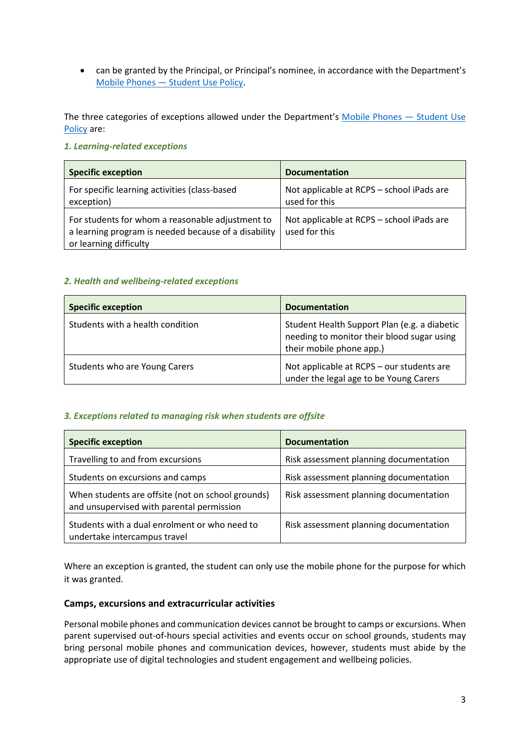• can be granted by the Principal, or Principal's nominee, in accordance with the Department's [Mobile Phones — Student Use Policy.](https://www2.education.vic.gov.au/pal/students-using-mobile-phones/policy)

The three categories of exceptions allowed under the Department's [Mobile Phones — Student Use](https://www2.education.vic.gov.au/pal/students-using-mobile-phones/policy)  [Policy](https://www2.education.vic.gov.au/pal/students-using-mobile-phones/policy) are:

#### *1. Learning-related exceptions*

| <b>Specific exception</b>                                                                                                          | <b>Documentation</b>                                       |
|------------------------------------------------------------------------------------------------------------------------------------|------------------------------------------------------------|
| For specific learning activities (class-based<br>exception)                                                                        | Not applicable at RCPS - school iPads are<br>used for this |
| For students for whom a reasonable adjustment to<br>a learning program is needed because of a disability<br>or learning difficulty | Not applicable at RCPS - school iPads are<br>used for this |

#### *2. Health and wellbeing-related exceptions*

| <b>Specific exception</b>        | <b>Documentation</b>                                                                                                   |
|----------------------------------|------------------------------------------------------------------------------------------------------------------------|
| Students with a health condition | Student Health Support Plan (e.g. a diabetic<br>needing to monitor their blood sugar using<br>their mobile phone app.) |
| Students who are Young Carers    | Not applicable at RCPS - our students are<br>under the legal age to be Young Carers                                    |

#### *3. Exceptions related to managing risk when students are offsite*

| <b>Specific exception</b>                                                                      | <b>Documentation</b>                   |
|------------------------------------------------------------------------------------------------|----------------------------------------|
| Travelling to and from excursions                                                              | Risk assessment planning documentation |
| Students on excursions and camps                                                               | Risk assessment planning documentation |
| When students are offsite (not on school grounds)<br>and unsupervised with parental permission | Risk assessment planning documentation |
| Students with a dual enrolment or who need to<br>undertake intercampus travel                  | Risk assessment planning documentation |

Where an exception is granted, the student can only use the mobile phone for the purpose for which it was granted.

#### **Camps, excursions and extracurricular activities**

Personal mobile phones and communication devices cannot be brought to camps or excursions. When parent supervised out-of-hours special activities and events occur on school grounds, students may bring personal mobile phones and communication devices, however, students must abide by the appropriate use of digital technologies and student engagement and wellbeing policies.